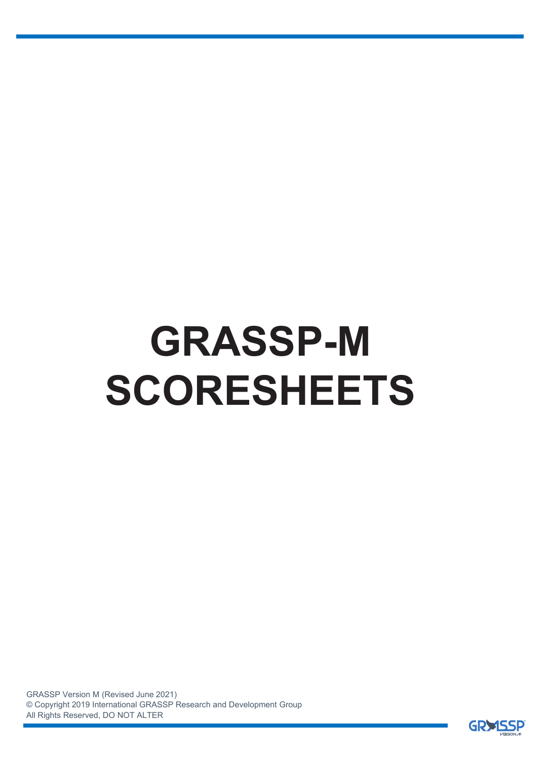# **GRASSP-M SCORESHEETS**

GRASSP Version M (Revised June 2021) © Copyright 2019 International GRASSP Research and Development Group All Rights Reserved, DO NOT ALTER

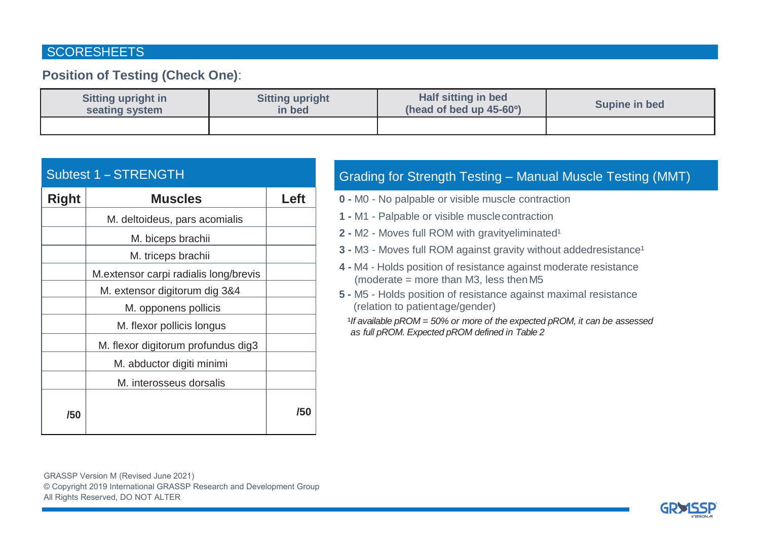#### **SCORESHEETS**

### **Position of Testing (Check One)**:

| <b>Sitting upright in</b> | <b>Sitting upright</b> | Half sitting in bed                    | Supine in bed |  |  |
|---------------------------|------------------------|----------------------------------------|---------------|--|--|
| seating system            | in bed                 | (head of bed up $45-60$ <sup>o</sup> ) |               |  |  |
|                           |                        |                                        |               |  |  |

|  | Subtest 1 - STRENGTH |
|--|----------------------|
|--|----------------------|

| Right | <b>Muscles</b>                        | Let |
|-------|---------------------------------------|-----|
|       | M. deltoideus, pars acomialis         |     |
|       | M. biceps brachii                     |     |
|       | M. triceps brachii                    |     |
|       | M.extensor carpi radialis long/brevis |     |
|       | M. extensor digitorum dig 3&4         |     |
|       | M. opponens pollicis                  |     |
|       | M. flexor pollicis longus             |     |
|       | M. flexor digitorum profundus dig3    |     |
|       | M. abductor digiti minimi             |     |
|       | M. interosseus dorsalis               |     |
| /50   |                                       | /50 |

## Grading for Strength Testing – Manual Muscle Testing (MMT)

- **0 -** M0 No palpable or visible muscle contraction
- **1 -** M1 Palpable or visible musclecontraction
- **2** M2 Moves full ROM with gravityeliminated<sup>1</sup>
- **3 -** M3 Moves full ROM against gravity without addedresistance<sup>1</sup>
- **4 -** M4 Holds position of resistance against moderate resistance (moderate  $=$  more than M3, less then M5
- **5 -** M5 Holds position of resistance against maximal resistance (relation to patientage/gender)
	- *If available pROM = 50% or more of the expected pROM, it can be assessed as full pROM. Expected pROM defined in Table 2*

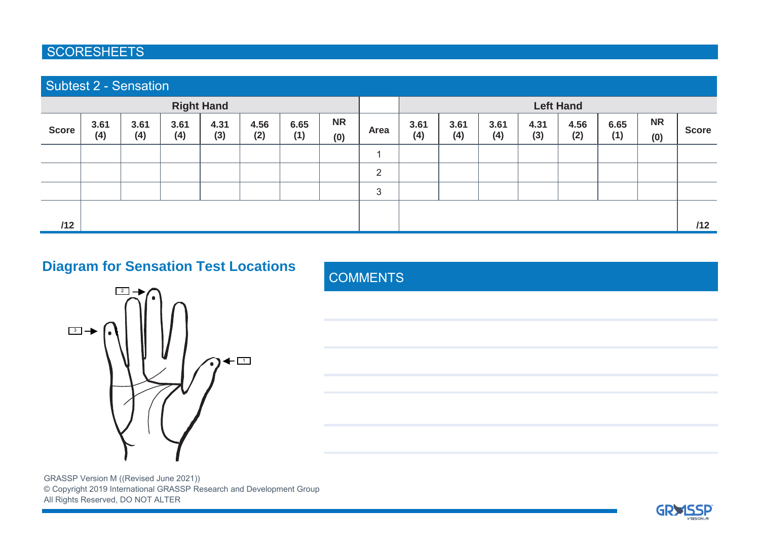#### **SCORESHEETS**

| <b>Subtest 2 - Sensation</b> |             |             |             |             |             |                  |                  |      |             |             |             |             |             |             |                  |              |
|------------------------------|-------------|-------------|-------------|-------------|-------------|------------------|------------------|------|-------------|-------------|-------------|-------------|-------------|-------------|------------------|--------------|
| <b>Right Hand</b>            |             |             |             |             |             | <b>Left Hand</b> |                  |      |             |             |             |             |             |             |                  |              |
| <b>Score</b>                 | 3.61<br>(4) | 3.61<br>(4) | 3.61<br>(4) | 4.31<br>(3) | 4.56<br>(2) | 6.65<br>(1)      | <b>NR</b><br>(0) | Area | 3.61<br>(4) | 3.61<br>(4) | 3.61<br>(4) | 4.31<br>(3) | 4.56<br>(2) | 6.65<br>(1) | <b>NR</b><br>(0) | <b>Score</b> |
|                              |             |             |             |             |             |                  |                  |      |             |             |             |             |             |             |                  |              |
|                              |             |             |             |             |             |                  |                  | 2    |             |             |             |             |             |             |                  |              |
|                              |             |             |             |             |             |                  |                  | 3    |             |             |             |             |             |             |                  |              |
|                              |             |             |             |             |             |                  |                  |      |             |             |             |             |             |             |                  |              |
| /12                          |             |             |             |             |             |                  |                  |      |             |             |             |             |             |             |                  | /12          |

## **Diagram for Sensation Test Locations**



**COMMENTS** 

GRASSP Version M ((Revised June 2021)) © Copyright 2019 International GRASSP Research and Development Group All Rights Reserved, DO NOT ALTER